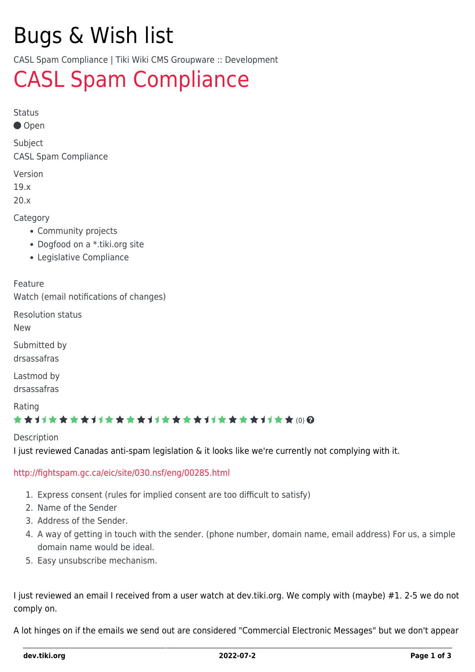# Bugs & Wish list

CASL Spam Compliance | Tiki Wiki CMS Groupware :: Development

## [CASL Spam Compliance](https://dev.tiki.org/item6912-CASL-Spam-Compliance)

Status

Open

Subject CASL Spam Compliance

Version

19.x

20.x

**Category** 

- Community projects
- Dogfood on a \*.tiki.org site
- Legislative Compliance

Feature

Watch (email notifications of changes)

Resolution status

New

Submitted by

drsassafras

Lastmod by

drsassafras

Rating

#### ★★11★★★★11★★★★11★★★★11★★★★11★★ (0) @

Description

I just reviewed Canadas anti-spam legislation & it looks like we're currently not complying with it.

#### <http://fightspam.gc.ca/eic/site/030.nsf/eng/00285.html>

- 1. Express consent (rules for implied consent are too difficult to satisfy)
- 2. Name of the Sender
- 3. Address of the Sender.
- 4. A way of getting in touch with the sender. (phone number, domain name, email address) For us, a simple domain name would be ideal.
- 5. Easy unsubscribe mechanism.

I just reviewed an email I received from a user watch at dev.tiki.org. We comply with (maybe) #1. 2-5 we do not comply on.

A lot hinges on if the emails we send out are considered "Commercial Electronic Messages" but we don't appear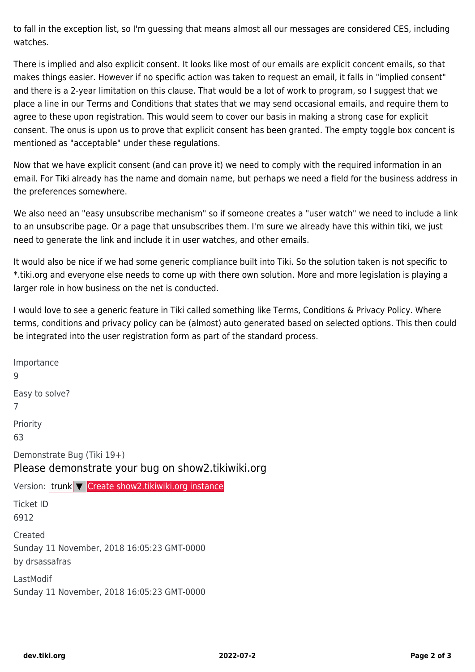to fall in the exception list, so I'm guessing that means almost all our messages are considered CES, including watches.

There is implied and also explicit consent. It looks like most of our emails are explicit concent emails, so that makes things easier. However if no specific action was taken to request an email, it falls in "implied consent" and there is a 2-year limitation on this clause. That would be a lot of work to program, so I suggest that we place a line in our Terms and Conditions that states that we may send occasional emails, and require them to agree to these upon registration. This would seem to cover our basis in making a strong case for explicit consent. The onus is upon us to prove that explicit consent has been granted. The empty toggle box concent is mentioned as "acceptable" under these regulations.

Now that we have explicit consent (and can prove it) we need to comply with the required information in an email. For Tiki already has the name and domain name, but perhaps we need a field for the business address in the preferences somewhere.

We also need an "easy unsubscribe mechanism" so if someone creates a "user watch" we need to include a link to an unsubscribe page. Or a page that unsubscribes them. I'm sure we already have this within tiki, we just need to generate the link and include it in user watches, and other emails.

It would also be nice if we had some generic compliance built into Tiki. So the solution taken is not specific to \*.tiki.org and everyone else needs to come up with there own solution. More and more legislation is playing a larger role in how business on the net is conducted.

I would love to see a generic feature in Tiki called something like Terms, Conditions & Privacy Policy. Where terms, conditions and privacy policy can be (almost) auto generated based on selected options. This then could be integrated into the user registration form as part of the standard process.

Importance 9 Easy to solve? 7 Priority 63 Demonstrate Bug (Tiki 19+) Please demonstrate your bug on show2.tikiwiki.org Version: trunk ▼ [Create show2.tikiwiki.org instance](#page--1-0) Ticket ID 6912 Created Sunday 11 November, 2018 16:05:23 GMT-0000 by drsassafras LastModif Sunday 11 November, 2018 16:05:23 GMT-0000